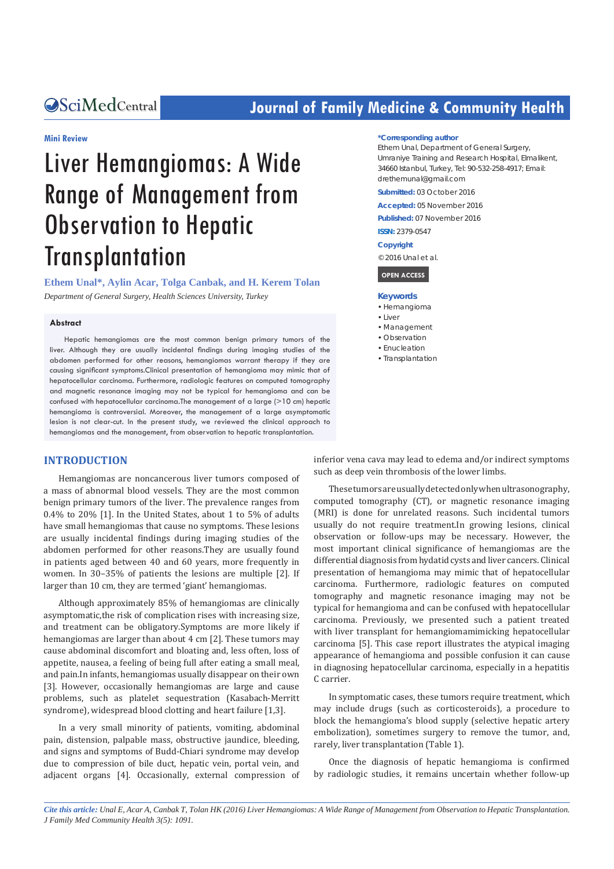## **CALCERT CONFIDENTIAL CONTROLLER COMMUNITY Health**

#### **Mini Review**

# Liver Hemangiomas: A Wide Range of Management from Observation to Hepatic **Transplantation**

**Ethem Unal\*, Aylin Acar, Tolga Canbak, and H. Kerem Tolan** *Department of General Surgery, Health Sciences University, Turkey*

#### **Abstract**

Hepatic hemangiomas are the most common benign primary tumors of the liver. Although they are usually incidental findings during imaging studies of the abdomen performed for other reasons, hemangiomas warrant therapy if they are causing significant symptoms.Clinical presentation of hemangioma may mimic that of hepatocellular carcinoma. Furthermore, radiologic features on computed tomography and magnetic resonance imaging may not be typical for hemangioma and can be confused with hepatocellular carcinoma.The management of a large (>10 cm) hepatic hemangioma is controversial. Moreover, the management of a large asymptomatic lesion is not clear-cut. In the present study, we reviewed the clinical approach to hemangiomas and the management, from observation to hepatic transplantation.

#### **INTRODUCTION**

Hemangiomas are noncancerous liver tumors composed of a mass of abnormal blood vessels. They are the most common benign primary tumors of the liver. The prevalence ranges from 0.4% to 20% [1]. In the United States, about 1 to 5% of adults have small hemangiomas that cause no symptoms. These lesions are usually incidental findings during imaging studies of the abdomen performed for other reasons.They are usually found in patients aged between 40 and 60 years, more frequently in women. In 30–35% of patients the lesions are multiple [2]. If larger than 10 cm, they are termed 'giant' hemangiomas.

Although approximately 85% of hemangiomas are clinically asymptomatic,the risk of complication rises with increasing size, and treatment can be obligatory.Symptoms are more likely if hemangiomas are larger than about 4 cm [2]. These tumors may cause abdominal discomfort and bloating and, less often, loss of appetite, nausea, a feeling of being full after eating a small meal, and pain.In infants, hemangiomas usually disappear on their own [3]. However, occasionally hemangiomas are large and cause problems, such as platelet sequestration (Kasabach-Merritt syndrome), widespread blood clotting and heart failure [1,3].

In a very small minority of patients, vomiting, abdominal pain, distension, palpable mass, obstructive jaundice, bleeding, and signs and symptoms of Budd-Chiari syndrome may develop due to compression of bile duct, hepatic vein, portal vein, and adjacent organs [4]. Occasionally, external compression of

#### **\*Corresponding author**

Ethem Unal, Department of General Surgery, Umraniye Training and Research Hospital, Elmalikent, 34660 Istanbul, Turkey, Tel: 90-532-258-4917; Email: drethemunal@gmail.com

**Submitted:** 03 October 2016

**Accepted:** 05 November 2016

**Published:** 07 November 2016

**ISSN:** 2379-0547

**Copyright**

© 2016 Unal et al.

#### **OPEN ACCESS**

#### **Keywords**

- • Hemangioma
- $\bullet$  Liver
- • Management
- Observation • Enucleation
- Transplantation

inferior vena cava may lead to edema and/or indirect symptoms such as deep vein thrombosis of the lower limbs.

These tumors are usually detected only when ultrasonography, computed tomography (CT), or magnetic resonance imaging (MRI) is done for unrelated reasons. Such incidental tumors usually do not require treatment.In growing lesions, clinical observation or follow-ups may be necessary. However, the most important clinical significance of hemangiomas are the differential diagnosis from hydatid cysts and liver cancers. Clinical presentation of hemangioma may mimic that of hepatocellular carcinoma. Furthermore, radiologic features on computed tomography and magnetic resonance imaging may not be typical for hemangioma and can be confused with hepatocellular carcinoma. Previously, we presented such a patient treated with liver transplant for hemangiomamimicking hepatocellular carcinoma [5]. This case report illustrates the atypical imaging appearance of hemangioma and possible confusion it can cause in diagnosing hepatocellular carcinoma, especially in a hepatitis C carrier.

In symptomatic cases, these tumors require treatment, which may include drugs (such as corticosteroids), a procedure to block the hemangioma's blood supply (selective hepatic artery embolization), sometimes surgery to remove the tumor, and, rarely, liver transplantation (Table 1).

Once the diagnosis of hepatic hemangioma is confirmed by radiologic studies, it remains uncertain whether follow-up

*Cite this article: Unal E, Acar A, Canbak T, Tolan HK (2016) Liver Hemangiomas: A Wide Range of Management from Observation to Hepatic Transplantation. J Family Med Community Health 3(5): 1091.*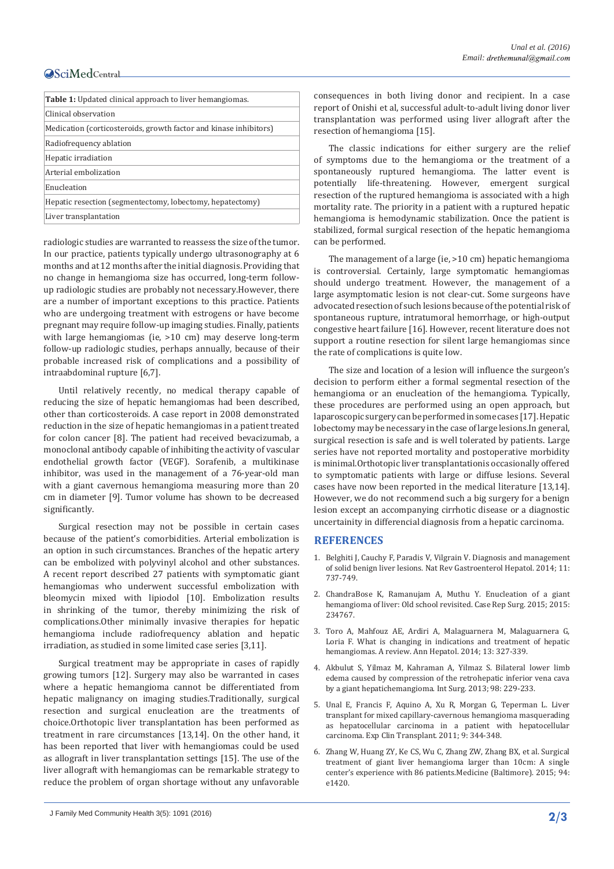### **OSciMedCentral**

| <b>Table 1:</b> Updated clinical approach to liver hemangiomas.   |
|-------------------------------------------------------------------|
| Clinical observation                                              |
| Medication (corticosteroids, growth factor and kinase inhibitors) |
| Radiofrequency ablation                                           |
| Hepatic irradiation                                               |
| Arterial embolization                                             |
| Enucleation                                                       |
| Hepatic resection (segmentectomy, lobectomy, hepatectomy)         |
| Liver transplantation                                             |

radiologic studies are warranted to reassess the size of the tumor. In our practice, patients typically undergo ultrasonography at 6 months and at 12 months after the initial diagnosis. Providing that no change in hemangioma size has occurred, long-term followup radiologic studies are probably not necessary.However, there are a number of important exceptions to this practice. Patients who are undergoing treatment with estrogens or have become pregnant may require follow-up imaging studies. Finally, patients with large hemangiomas (ie, >10 cm) may deserve long-term follow-up radiologic studies, perhaps annually, because of their probable increased risk of complications and a possibility of intraabdominal rupture [6,7].

Until relatively recently, no medical therapy capable of reducing the size of hepatic hemangiomas had been described, other than corticosteroids. A case report in 2008 demonstrated reduction in the size of hepatic hemangiomas in a patient treated for colon cancer [8]. The patient had received bevacizumab, a monoclonal antibody capable of inhibiting the activity of vascular endothelial growth factor (VEGF). Sorafenib, a multikinase inhibitor, was used in the management of a 76-year-old man with a giant cavernous hemangioma measuring more than 20 cm in diameter [9]. Tumor volume has shown to be decreased significantly.

Surgical resection may not be possible in certain cases because of the patient's comorbidities. Arterial embolization is an option in such circumstances. Branches of the hepatic artery can be embolized with polyvinyl alcohol and other substances. A recent report described 27 patients with symptomatic giant hemangiomas who underwent successful embolization with bleomycin mixed with lipiodol [10]. Embolization results in shrinking of the tumor, thereby minimizing the risk of complications.Other minimally invasive therapies for hepatic hemangioma include radiofrequency ablation and hepatic irradiation, as studied in some limited case series [3,11].

Surgical treatment may be appropriate in cases of rapidly growing tumors [12]. Surgery may also be warranted in cases where a hepatic hemangioma cannot be differentiated from hepatic malignancy on imaging studies.Traditionally, surgical resection and surgical enucleation are the treatments of choice.Orthotopic liver transplantation has been performed as treatment in rare circumstances [13,14]. On the other hand, it has been reported that liver with hemangiomas could be used as allograft in liver transplantation settings [15]. The use of the liver allograft with hemangiomas can be remarkable strategy to reduce the problem of organ shortage without any unfavorable consequences in both living donor and recipient. In a case report of Onishi et al, successful adult-to-adult living donor liver transplantation was performed using liver allograft after the resection of hemangioma [15].

The classic indications for either surgery are the relief of symptoms due to the hemangioma or the treatment of a spontaneously ruptured hemangioma. The latter event is potentially life-threatening. However, emergent surgical resection of the ruptured hemangioma is associated with a high mortality rate. The priority in a patient with a ruptured hepatic hemangioma is hemodynamic stabilization. Once the patient is stabilized, formal surgical resection of the hepatic hemangioma can be performed.

The management of a large (ie, >10 cm) hepatic hemangioma is controversial. Certainly, large symptomatic hemangiomas should undergo treatment. However, the management of a large asymptomatic lesion is not clear-cut. Some surgeons have advocated resection of such lesions because of the potential risk of spontaneous rupture, intratumoral hemorrhage, or high-output congestive heart failure [16]. However, recent literature does not support a routine resection for silent large hemangiomas since the rate of complications is quite low.

The size and location of a lesion will influence the surgeon's decision to perform either a formal segmental resection of the hemangioma or an enucleation of the hemangioma. Typically, these procedures are performed using an open approach, but laparoscopic surgery can be performed in some cases [17]. Hepatic lobectomy may be necessary in the case of large lesions.In general, surgical resection is safe and is well tolerated by patients. Large series have not reported mortality and postoperative morbidity is minimal.Orthotopic liver transplantationis occasionally offered to symptomatic patients with large or diffuse lesions. Several cases have now been reported in the medical literature [13,14]. However, we do not recommend such a big surgery for a benign lesion except an accompanying cirrhotic disease or a diagnostic uncertainity in differencial diagnosis from a hepatic carcinoma.

#### **REFERENCES**

- 1. [Belghiti J, Cauchy F, Paradis V, Vilgrain V. Diagnosis and management](http://www.nature.com/nrgastro/journal/v11/n12/full/nrgastro.2014.151.html)  [of solid benign liver lesions. Nat Rev Gastroenterol Hepatol. 2014; 11:](http://www.nature.com/nrgastro/journal/v11/n12/full/nrgastro.2014.151.html)  [737-749.](http://www.nature.com/nrgastro/journal/v11/n12/full/nrgastro.2014.151.html)
- 2. [ChandraBose K, Ramanujam A, Muthu Y. Enucleation of a giant](https://www.hindawi.com/journals/cris/2015/234767/)  [hemangioma of liver: Old school revisited. Case Rep Surg. 2015; 2015:](https://www.hindawi.com/journals/cris/2015/234767/)  [234767.](https://www.hindawi.com/journals/cris/2015/234767/)
- 3. [Toro A, Mahfouz AE, Ardiri A, Malaguarnera M, Malaguarnera G,](https://www.ncbi.nlm.nih.gov/pubmed/24927603)  [Loria F. What is changing in indications and treatment of hepatic](https://www.ncbi.nlm.nih.gov/pubmed/24927603)  [hemangiomas. A review. Ann Hepatol. 2014; 13: 327-339.](https://www.ncbi.nlm.nih.gov/pubmed/24927603)
- 4. [Akbulut S, Yilmaz M, Kahraman A, Yilmaz S. Bilateral lower limb](https://www.ncbi.nlm.nih.gov/pubmed/23971776)  [edema caused by compression of the retrohepatic inferior vena cava](https://www.ncbi.nlm.nih.gov/pubmed/23971776)  [by a giant hepatichemangioma. Int Surg. 2013; 98: 229-233.](https://www.ncbi.nlm.nih.gov/pubmed/23971776)
- 5. [Unal E, Francis F, Aquino A, Xu R, Morgan G, Teperman L. Liver](https://www.ncbi.nlm.nih.gov/pubmed/21967263)  [transplant for mixed capillary-cavernous hemangioma masquerading](https://www.ncbi.nlm.nih.gov/pubmed/21967263)  [as hepatocellular carcinoma in a patient with hepatocellular](https://www.ncbi.nlm.nih.gov/pubmed/21967263)  [carcinoma. Exp Clin Transplant. 2011; 9: 344-348.](https://www.ncbi.nlm.nih.gov/pubmed/21967263)
- 6. [Zhang W, Huang ZY, Ke CS, Wu C, Zhang ZW, Zhang BX, et al. Surgical](https://www.ncbi.nlm.nih.gov/pmc/articles/PMC4602926/)  [treatment of giant liver hemangioma larger than 10 cm: A single](https://www.ncbi.nlm.nih.gov/pmc/articles/PMC4602926/)  [center's experience with 86 patients.Medicine \(Baltimore\). 2015; 94:](https://www.ncbi.nlm.nih.gov/pmc/articles/PMC4602926/)  [e1420.](https://www.ncbi.nlm.nih.gov/pmc/articles/PMC4602926/)

J Family Med Community Health 3(5): 1091 (2016) **2/3**